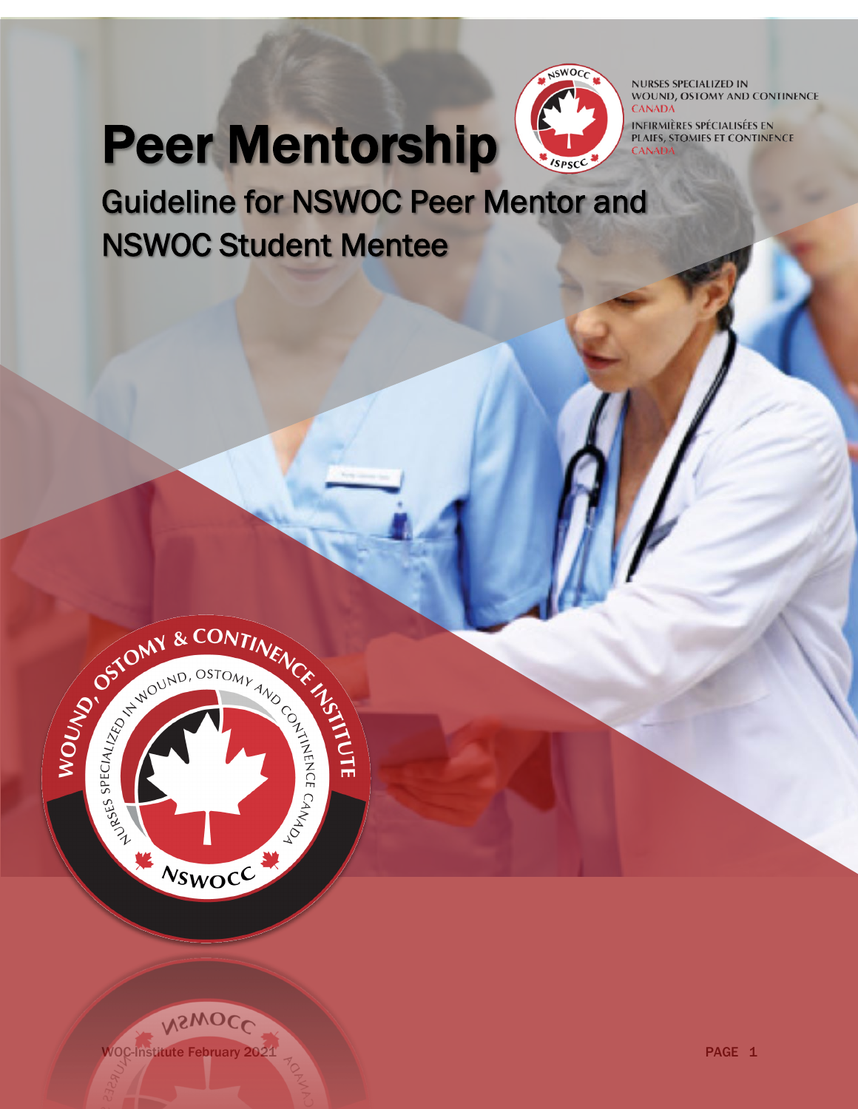# Peer Mentorship



**NURSES SPECIALIZED IN** WOUND, OSTOMY AND CONTINENCE **CANADA** 

**INFIRMIÈRES SPÉCIALISÉES EN** PLAIES, STOMIES ET CONTINENCE **JADA** 

Guideline for NSWOC Peer Mentor and NSWOC Student Mentee



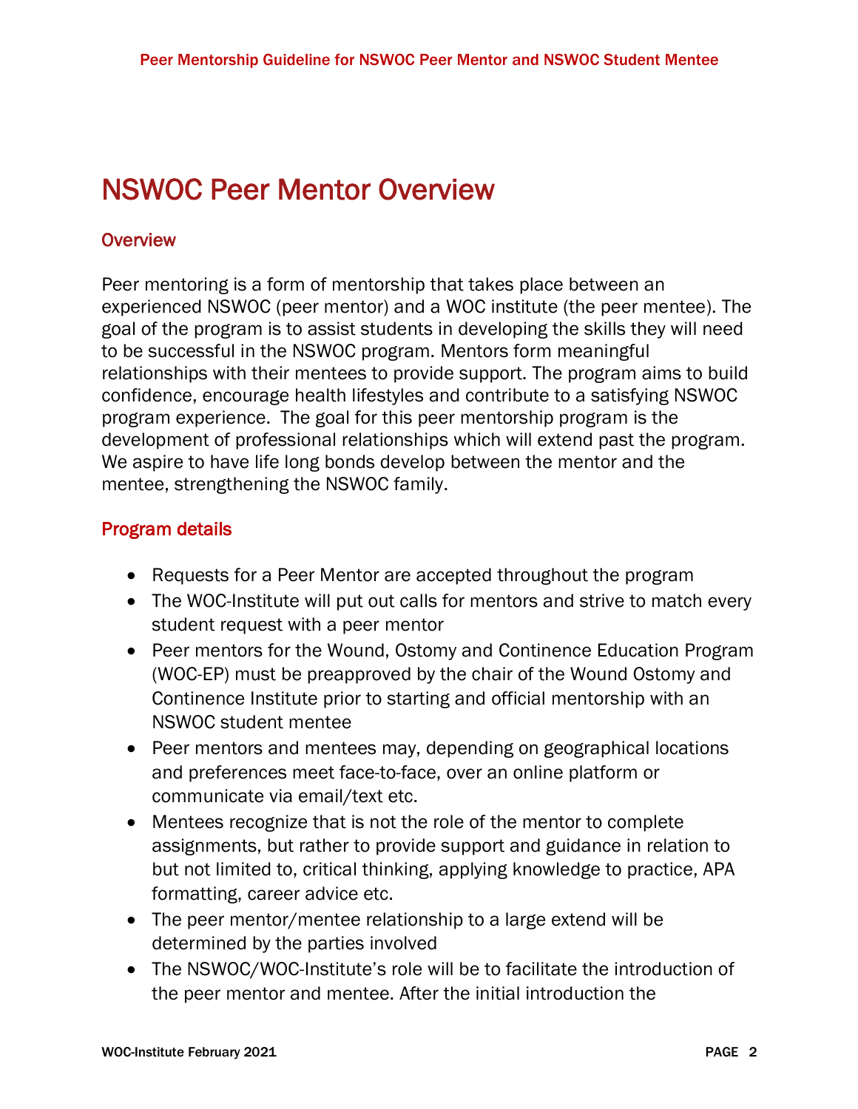## NSWOC Peer Mentor Overview

### **Overview**

Peer mentoring is a form of mentorship that takes place between an experienced NSWOC (peer mentor) and a WOC institute (the peer mentee). The goal of the program is to assist students in developing the skills they will need to be successful in the NSWOC program. Mentors form meaningful relationships with their mentees to provide support. The program aims to build confidence, encourage health lifestyles and contribute to a satisfying NSWOC program experience. The goal for this peer mentorship program is the development of professional relationships which will extend past the program. We aspire to have life long bonds develop between the mentor and the mentee, strengthening the NSWOC family.

### Program details

- Requests for a Peer Mentor are accepted throughout the program
- The WOC-Institute will put out calls for mentors and strive to match every student request with a peer mentor
- Peer mentors for the Wound, Ostomy and Continence Education Program (WOC-EP) must be preapproved by the chair of the Wound Ostomy and Continence Institute prior to starting and official mentorship with an NSWOC student mentee
- Peer mentors and mentees may, depending on geographical locations and preferences meet face-to-face, over an online platform or communicate via email/text etc.
- Mentees recognize that is not the role of the mentor to complete assignments, but rather to provide support and guidance in relation to but not limited to, critical thinking, applying knowledge to practice, APA formatting, career advice etc.
- The peer mentor/mentee relationship to a large extend will be determined by the parties involved
- The NSWOC/WOC-Institute's role will be to facilitate the introduction of the peer mentor and mentee. After the initial introduction the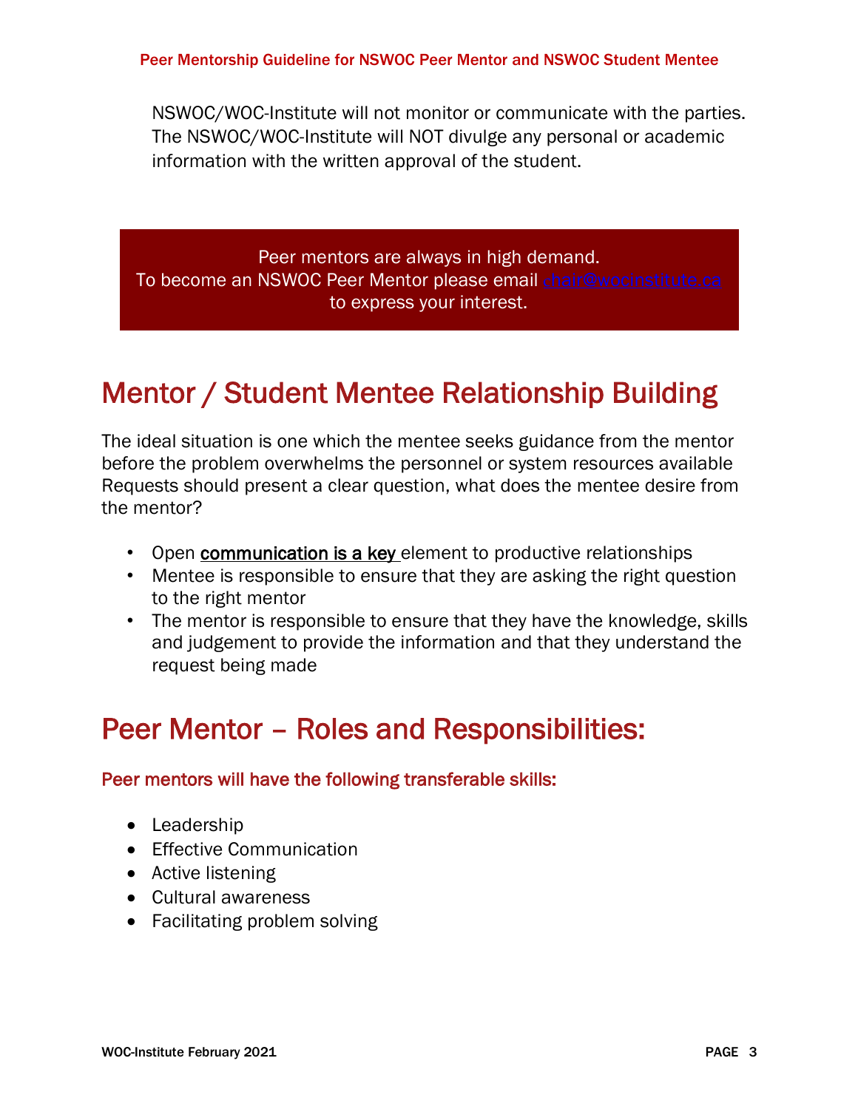NSWOC/WOC-Institute will not monitor or communicate with the parties. The NSWOC/WOC-Institute will NOT divulge any personal or academic information with the written approval of the student.

Peer mentors are always in high demand. To become an NSWOC Peer Mentor please email chair@wocinstitute.ca to express your interest.

## Mentor / Student Mentee Relationship Building

The ideal situation is one which the mentee seeks guidance from the mentor before the problem overwhelms the personnel or system resources available Requests should present a clear question, what does the mentee desire from the mentor?

- Open **communication is a key** element to productive relationships
- Mentee is responsible to ensure that they are asking the right question to the right mentor
- The mentor is responsible to ensure that they have the knowledge, skills and judgement to provide the information and that they understand the request being made

## Peer Mentor – Roles and Responsibilities:

#### Peer mentors will have the following transferable skills:

- Leadership
- Effective Communication
- Active listening
- Cultural awareness
- Facilitating problem solving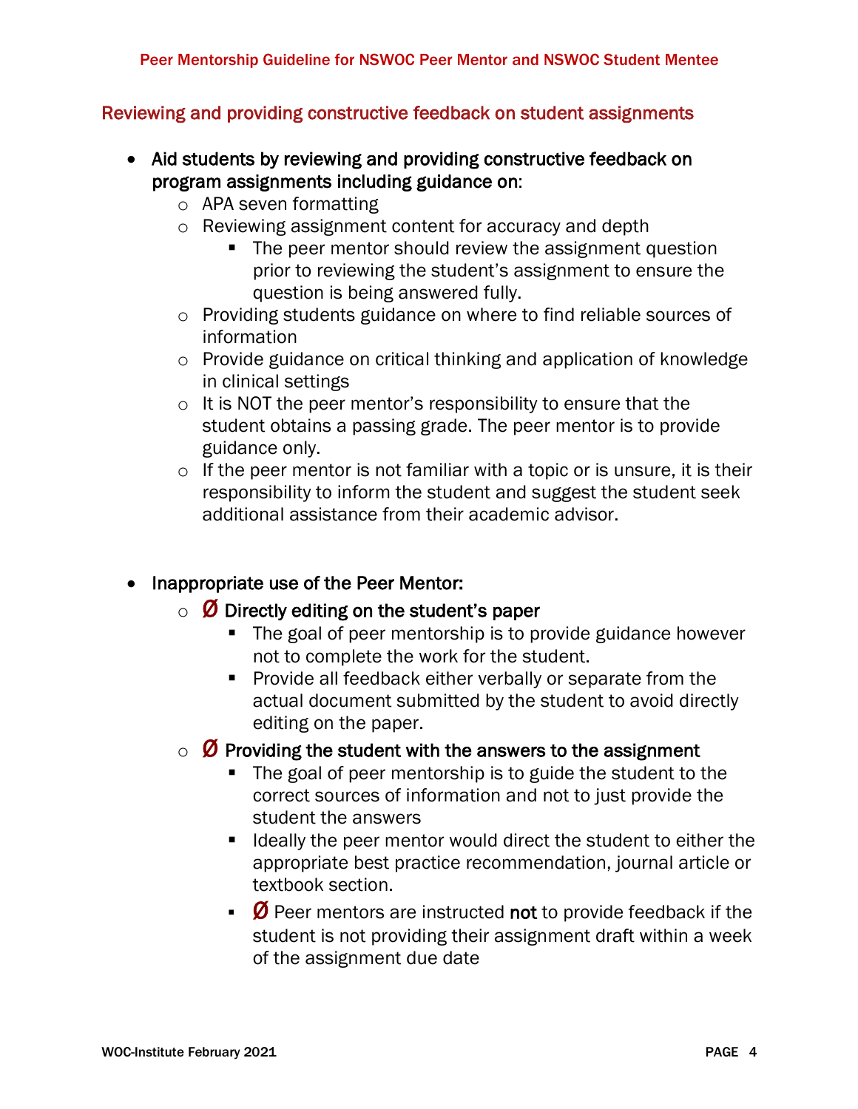#### Reviewing and providing constructive feedback on student assignments

- Aid students by reviewing and providing constructive feedback on program assignments including guidance on:
	- o APA seven formatting
	- o Reviewing assignment content for accuracy and depth
		- The peer mentor should review the assignment question prior to reviewing the student's assignment to ensure the question is being answered fully.
	- o Providing students guidance on where to find reliable sources of information
	- o Provide guidance on critical thinking and application of knowledge in clinical settings
	- o It is NOT the peer mentor's responsibility to ensure that the student obtains a passing grade. The peer mentor is to provide guidance only.
	- $\circ$  If the peer mentor is not familiar with a topic or is unsure, it is their responsibility to inform the student and suggest the student seek additional assistance from their academic advisor.

#### • Inappropriate use of the Peer Mentor:

- $\circ$   $\varnothing$  Directly editing on the student's paper
	- The goal of peer mentorship is to provide guidance however not to complete the work for the student.
	- Provide all feedback either verbally or separate from the actual document submitted by the student to avoid directly editing on the paper.
- $\circ$   $\varnothing$  Providing the student with the answers to the assignment
	- The goal of peer mentorship is to guide the student to the correct sources of information and not to just provide the student the answers
	- Ideally the peer mentor would direct the student to either the appropriate best practice recommendation, journal article or textbook section.
	- $\bullet$   $\emptyset$  Peer mentors are instructed not to provide feedback if the student is not providing their assignment draft within a week of the assignment due date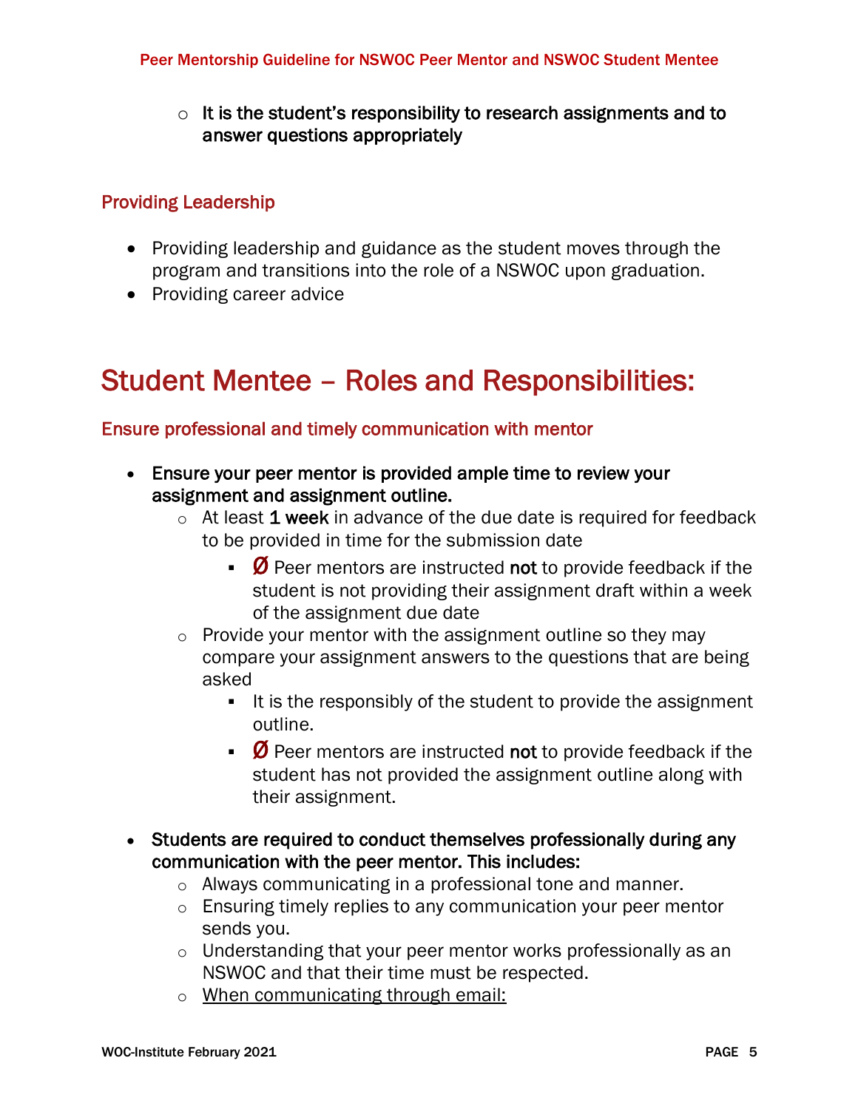$\circ$  It is the student's responsibility to research assignments and to answer questions appropriately

#### Providing Leadership

- Providing leadership and guidance as the student moves through the program and transitions into the role of a NSWOC upon graduation.
- Providing career advice

## Student Mentee – Roles and Responsibilities:

#### Ensure professional and timely communication with mentor

- Ensure your peer mentor is provided ample time to review your assignment and assignment outline.
	- $\circ$  At least 1 week in advance of the due date is required for feedback to be provided in time for the submission date
		- $\bullet$   $\emptyset$  Peer mentors are instructed not to provide feedback if the student is not providing their assignment draft within a week of the assignment due date
	- $\circ$  Provide your mentor with the assignment outline so they may compare your assignment answers to the questions that are being asked
		- It is the responsibly of the student to provide the assignment outline.
		- $\emptyset$  Peer mentors are instructed not to provide feedback if the student has not provided the assignment outline along with their assignment.
- Students are required to conduct themselves professionally during any communication with the peer mentor. This includes:
	- o Always communicating in a professional tone and manner.
	- o Ensuring timely replies to any communication your peer mentor sends you.
	- o Understanding that your peer mentor works professionally as an NSWOC and that their time must be respected.
	- o When communicating through email: